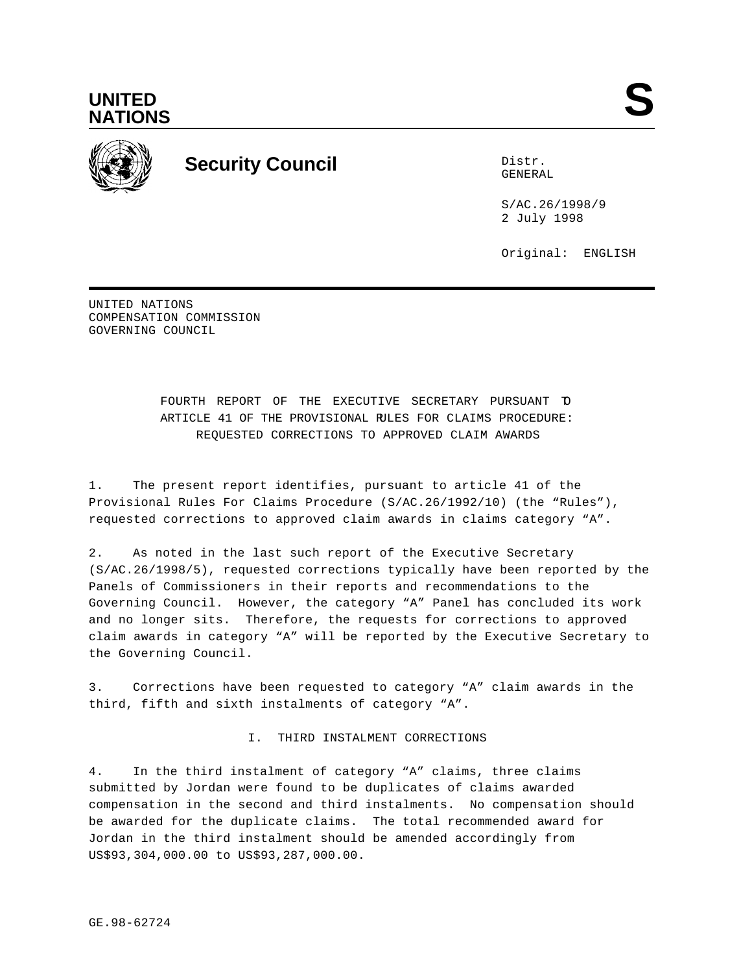



# **Security Council** Distribution of the Distribution of the Distribution of the Distribution of the Distribution of the Distribution of the Distribution of the Distribution of the Distribution of the Distribution of the Dis

GENERAL

S/AC.26/1998/9 2 July 1998

Original: ENGLISH

UNITED NATIONS COMPENSATION COMMISSION GOVERNING COUNCIL

> FOURTH REPORT OF THE EXECUTIVE SECRETARY PURSUANT TO ARTICLE 41 OF THE PROVISIONAL RULES FOR CLAIMS PROCEDURE: REQUESTED CORRECTIONS TO APPROVED CLAIM AWARDS

1. The present report identifies, pursuant to article 41 of the Provisional Rules For Claims Procedure (S/AC.26/1992/10) (the "Rules"), requested corrections to approved claim awards in claims category "A".

2. As noted in the last such report of the Executive Secretary (S/AC.26/1998/5), requested corrections typically have been reported by the Panels of Commissioners in their reports and recommendations to the Governing Council. However, the category "A" Panel has concluded its work and no longer sits. Therefore, the requests for corrections to approved claim awards in category "A" will be reported by the Executive Secretary to the Governing Council.

3. Corrections have been requested to category "A" claim awards in the third, fifth and sixth instalments of category "A".

I. THIRD INSTALMENT CORRECTIONS

4. In the third instalment of category "A" claims, three claims submitted by Jordan were found to be duplicates of claims awarded compensation in the second and third instalments. No compensation should be awarded for the duplicate claims. The total recommended award for Jordan in the third instalment should be amended accordingly from US\$93,304,000.00 to US\$93,287,000.00.